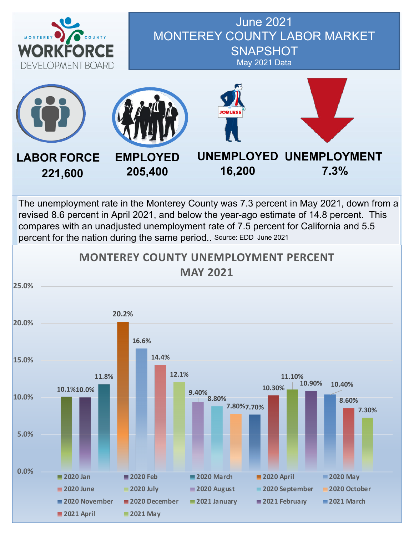

#### June 2021 MONTEREY COUNTY LABOR MARKET **SNAPSHOT** May 2021 Data



The unemployment rate in the Monterey County was 7.3 percent in May 2021, down from a revised 8.6 percent in April 2021, and below the year-ago estimate of 14.8 percent. This compares with an unadjusted unemployment rate of 7.5 percent for California and 5.5 percent for the nation during the same period.. Source: EDD June 2021

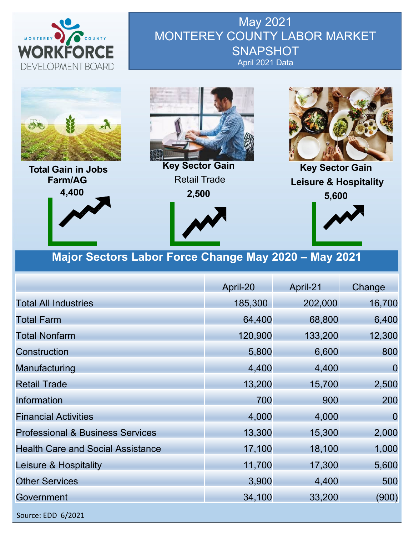

May 2021 MONTEREY COUNTY LABOR MARKET **SNAPSHOT** April 2021 Data



**Total Gain in Jobs Farm/AG 4,400**



**Key Sector Gain** Retail Trade **2,500**





**Key Sector Gain Leisure & Hospitality 5,600**



#### **Major Sectors Labor Force Change May 2020 – May 2021**

|                                             | April-20 | April-21 |                |  |
|---------------------------------------------|----------|----------|----------------|--|
| <b>Total All Industries</b>                 | 185,300  | 202,000  | 16,700         |  |
| <b>Total Farm</b>                           | 64,400   | 68,800   | 6,400          |  |
| <b>Total Nonfarm</b>                        | 120,900  | 133,200  | 12,300         |  |
| Construction                                | 5,800    | 6,600    | 800            |  |
| Manufacturing                               | 4,400    | 4,400    | $\overline{0}$ |  |
| <b>Retail Trade</b>                         | 13,200   | 15,700   | 2,500          |  |
| Information                                 | 700      | 900      | 200            |  |
| <b>Financial Activities</b>                 | 4,000    | 4,000    | $\Omega$       |  |
| <b>Professional &amp; Business Services</b> | 13,300   | 15,300   | 2,000          |  |
| <b>Health Care and Social Assistance</b>    | 17,100   | 18,100   | 1,000          |  |
| Leisure & Hospitality                       | 11,700   | 17,300   | 5,600          |  |
| <b>Other Services</b>                       | 3,900    | 4,400    | 500            |  |
| Government                                  | 34,100   | 33,200   | (900)          |  |
| Source: EDD 6/2021                          |          |          |                |  |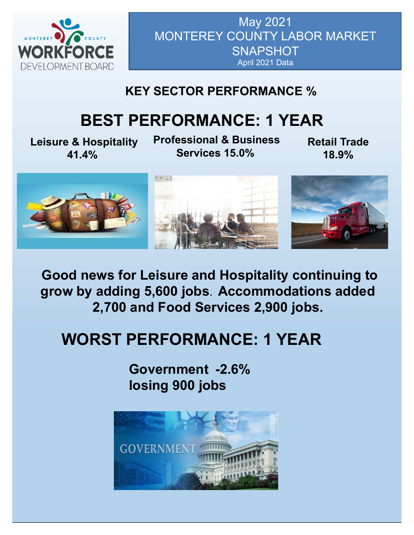

May 2021 MONTEREY COUNTY LABOR MARKET **SNAPSHOT** April 2021 Data

### **KEY SECTOR PERFORMANCE %**

# **BEST PERFORMANCE: 1 YEAR**

**Leisure & Hospitality 41.4%**

**Professional & Business Services 15.0%**

**Retail Trade 18.9%**



**Good news for Leisure and Hospitality continuing to grow by adding 5,600 jobs**. **Accommodations added 2,700 and Food Services 2,900 jobs.**

# **WORST PERFORMANCE: 1 YEAR**

**Government -2.6% losing 900 jobs**

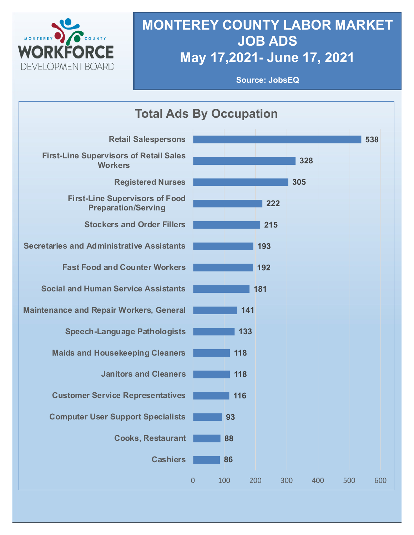

# **MONTEREY COUNTY LABOR MARKET JOB ADS May 17,2021- June 17, 2021**

**Source: JobsEQ**

| <b>Total Ads By Occupation</b>                                      |                  |     |     |     |            |     |  |
|---------------------------------------------------------------------|------------------|-----|-----|-----|------------|-----|--|
| <b>Retail Salespersons</b>                                          |                  |     |     |     |            | 538 |  |
| <b>First-Line Supervisors of Retail Sales</b><br><b>Workers</b>     |                  |     |     | 328 |            |     |  |
| <b>Registered Nurses</b>                                            |                  |     |     | 305 |            |     |  |
| <b>First-Line Supervisors of Food</b><br><b>Preparation/Serving</b> |                  |     | 222 |     |            |     |  |
| <b>Stockers and Order Fillers</b>                                   |                  |     | 215 |     |            |     |  |
| <b>Secretaries and Administrative Assistants</b>                    |                  |     | 193 |     |            |     |  |
| <b>Fast Food and Counter Workers</b>                                |                  |     | 192 |     |            |     |  |
| <b>Social and Human Service Assistants</b>                          |                  |     | 181 |     |            |     |  |
| <b>Maintenance and Repair Workers, General</b>                      |                  | 141 |     |     |            |     |  |
| <b>Speech-Language Pathologists</b>                                 |                  | 133 |     |     |            |     |  |
| <b>Maids and Housekeeping Cleaners</b>                              |                  | 118 |     |     |            |     |  |
| <b>Janitors and Cleaners</b>                                        |                  | 118 |     |     |            |     |  |
| <b>Customer Service Representatives</b>                             |                  | 116 |     |     |            |     |  |
| <b>Computer User Support Specialists</b>                            |                  | 93  |     |     |            |     |  |
| <b>Cooks, Restaurant</b>                                            |                  | 88  |     |     |            |     |  |
| <b>Cashiers</b>                                                     |                  | 86  |     |     |            |     |  |
|                                                                     | $\boldsymbol{0}$ | 100 | 200 | 300 | 400<br>500 | 600 |  |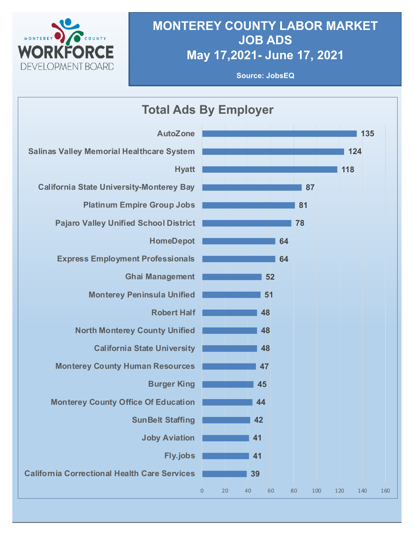

#### **MONTEREY COUNTY LABOR MARKET JOB ADS May 17,2021- June 17, 2021**

**Source: JobsEQ**

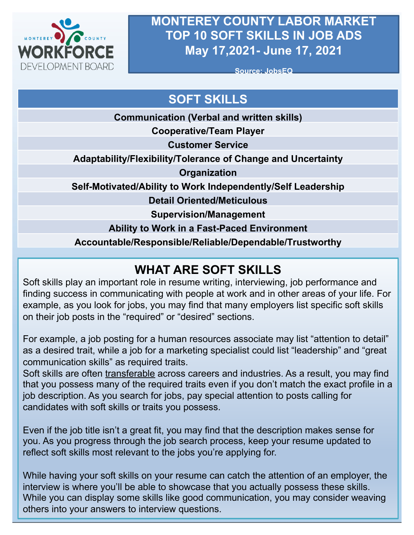

#### **MONTEREY COUNTY LABOR MARKET TOP 10 SOFT SKILLS IN JOB ADS May 17,2021- June 17, 2021**

**Source: JobsEQ**

## **SOFT SKILLS**

**Communication (Verbal and written skills)**

**Cooperative/Team Player**

**Customer Service**

**Adaptability/Flexibility/Tolerance of Change and Uncertainty**

**Organization**

**Self-Motivated/Ability to Work Independently/Self Leadership**

**Detail Oriented/Meticulous**

**Supervision/Management**

**Ability to Work in a Fast-Paced Environment**

**Accountable/Responsible/Reliable/Dependable/Trustworthy**

### **WHAT ARE SOFT SKILLS**

Soft skills play an important role in resume writing, interviewing, job performance and finding success in communicating with people at work and in other areas of your life. For example, as you look for jobs, you may find that many employers list specific soft skills on their job posts in the "required" or "desired" sections.

For example, a job posting for a human resources associate may list "attention to detail" as a desired trait, while a job for a marketing specialist could list "leadership" and "great communication skills" as required traits.

Soft skills are often transferable across careers and industries. As a result, you may find that you possess many of the required traits even if you don't match the exact profile in a job description. As you search for jobs, pay special attention to posts calling for candidates with soft skills or traits you possess.

Even if the job title isn't a great fit, you may find that the description makes sense for you. As you progress through the job search process, keep your resume updated to reflect soft skills most relevant to the jobs you're applying for.

While having your soft skills on your resume can catch the attention of an employer, the interview is where you'll be able to showcase that you actually possess these skills. While you can display some skills like good communication, you may consider weaving others into your answers to interview questions.